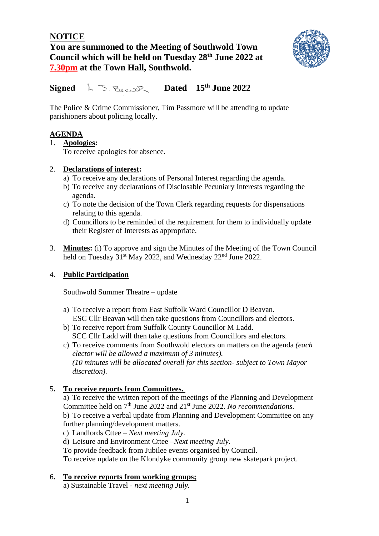# **NOTICE You are summoned to the Meeting of Southwold Town Council which will be held on Tuesday 28th June 2022 at 7.30pm at the Town Hall, Southwold.**



 $Signed$   $h \lesssim R_{\text{e}}$ **Dated** 15<sup>th</sup> June 2022

The Police & Crime Commissioner, Tim Passmore will be attending to update parishioners about policing locally.

## **AGENDA**

### 1. **Apologies:**

To receive apologies for absence.

### 2. **Declarations of interest:**

- a) To receive any declarations of Personal Interest regarding the agenda.
- b) To receive any declarations of Disclosable Pecuniary Interests regarding the agenda.
- c) To note the decision of the Town Clerk regarding requests for dispensations relating to this agenda.
- d) Councillors to be reminded of the requirement for them to individually update their Register of Interests as appropriate.
- 3. **Minutes:** (i) To approve and sign the Minutes of the Meeting of the Town Council held on Tuesday 31<sup>st</sup> May 2022, and Wednesday 22<sup>nd</sup> June 2022.

### 4. **Public Participation**

Southwold Summer Theatre – update

- a) To receive a report from East Suffolk Ward Councillor D Beavan. ESC Cllr Beavan will then take questions from Councillors and electors.
- b) To receive report from Suffolk County Councillor M Ladd. SCC Cllr Ladd will then take questions from Councillors and electors.
- c) To receive comments from Southwold electors on matters on the agenda *(each elector will be allowed a maximum of 3 minutes). (10 minutes will be allocated overall for this section- subject to Town Mayor discretion).*

# 5**. To receive reports from Committees.**

a) To receive the written report of the meetings of the Planning and Development Committee held on 7<sup>th</sup> June 2022 and 21<sup>st</sup> June 2022. *No recommendations*. b) To receive a verbal update from Planning and Development Committee on any further planning/development matters.

- c) Landlords Cttee *Next meeting July.*
- d) Leisure and Environment Cttee –*Next meeting July*.
- To provide feedback from Jubilee events organised by Council.

To receive update on the Klondyke community group new skatepark project.

#### 6**. To receive reports from working groups;**

a) Sustainable Travel - *next meeting July.*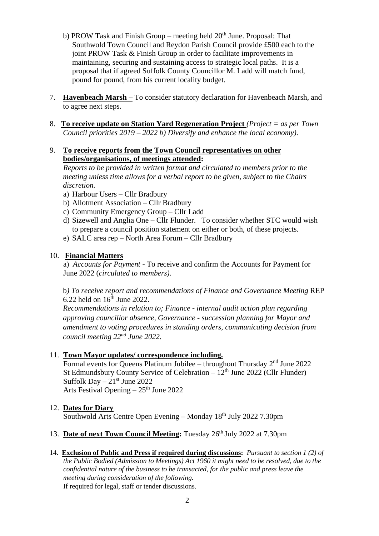- b) PROW Task and Finish Group meeting held  $20<sup>th</sup>$  June. Proposal: That Southwold Town Council and Reydon Parish Council provide £500 each to the joint PROW Task & Finish Group in order to facilitate improvements in maintaining, securing and sustaining access to strategic local paths. It is a proposal that if agreed Suffolk County Councillor M. Ladd will match fund, pound for pound, from his current locality budget.
- 7. **Havenbeach Marsh –** To consider statutory declaration for Havenbeach Marsh, and to agree next steps.
- 8. **To receive update on Station Yard Regeneration Project** *(Project = as per Town Council priorities 2019 – 2022 b) Diversify and enhance the local economy).*
- 9. **To receive reports from the Town Council representatives on other bodies/organisations, of meetings attended:**

*Reports to be provided in written format and circulated to members prior to the meeting unless time allows for a verbal report to be given, subject to the Chairs discretion.*

- a) Harbour Users Cllr Bradbury
- b) Allotment Association Cllr Bradbury
- c) Community Emergency Group Cllr Ladd
- d) Sizewell and Anglia One Cllr Flunder. To consider whether STC would wish to prepare a council position statement on either or both, of these projects.
- e) SALC area rep North Area Forum Cllr Bradbury

#### 10. **Financial Matters**

a) *Accounts for Payment* - To receive and confirm the Accounts for Payment for June 2022 (*circulated to members).*

b*) To receive report and recommendations of Finance and Governance Meeting* REP  $6.22$  held on  $16<sup>th</sup>$  June 2022.

*Recommendations in relation to; Finance - internal audit action plan regarding approving councillor absence, Governance - succession planning for Mayor and amendment to voting procedures in standing orders, communicating decision from council meeting 22nd June 2022.* 

#### 11. **Town Mayor updates/ correspondence including.**

Formal events for Queens Platinum Jubilee – throughout Thursday 2<sup>nd</sup> June 2022 St Edmundsbury County Service of Celebration –  $12<sup>th</sup>$  June 2022 (Cllr Flunder) Suffolk Day –  $21<sup>st</sup>$  June 2022 Arts Festival Opening  $-25<sup>th</sup>$  June 2022

- 12. **Dates for Diary** Southwold Arts Centre Open Evening – Monday 18th July 2022 7.30pm
- 13. **Date of next Town Council Meeting:** Tuesday 26<sup>th</sup> July 2022 at 7.30pm
- 14. **Exclusion of Public and Press if required during discussions:** *Pursuant to section 1 (2) of the Public Bodied (Admission to Meetings) Act 1960 it might need to be resolved, due to the confidential nature of the business to be transacted, for the public and press leave the meeting during consideration of the following.* If required for legal, staff or tender discussions.